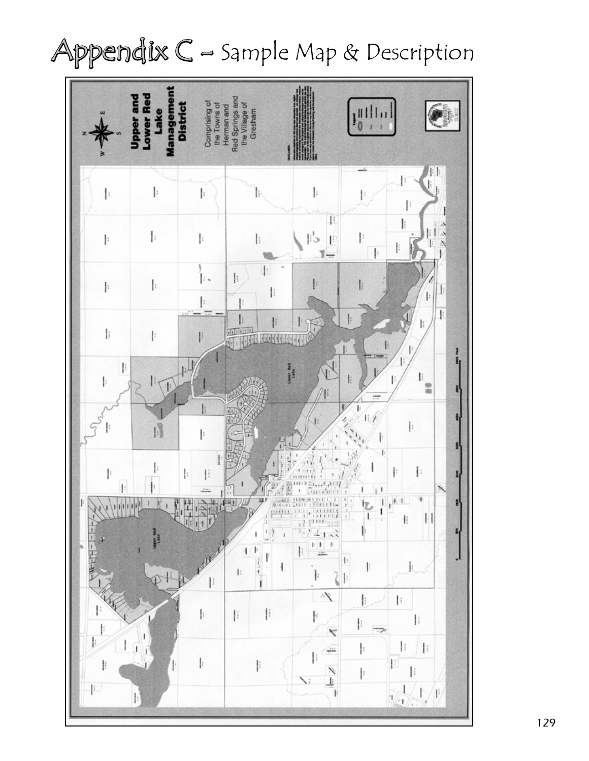## Appendix  $C$  - Sample Map & Description